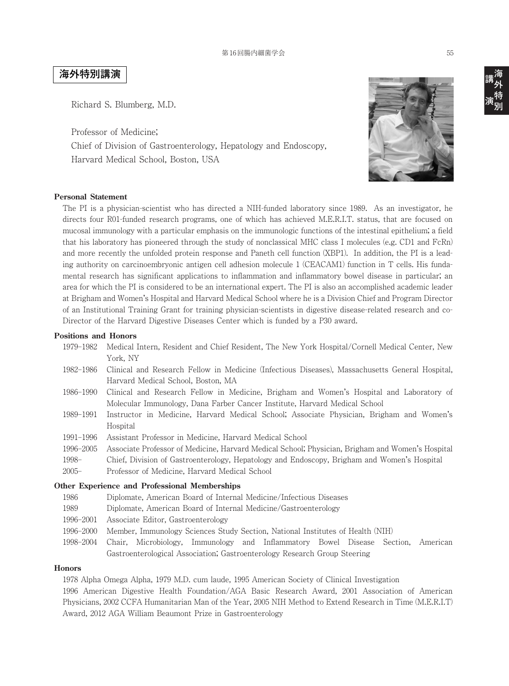# **海外特別講演**

Richard S. Blumberg, M.D.

Professor of Medicine; Chief of Division of Gastroenterology, Hepatology and Endoscopy, Harvard Medical School, Boston, USA



#### **Personal Statement**

The PI is a physician-scientist who has directed a NIH-funded laboratory since 1989. As an investigator, he directs four R01-funded research programs, one of which has achieved M.E.R.I.T. status, that are focused on mucosal immunology with a particular emphasis on the immunologic functions of the intestinal epithelium; a field that his laboratory has pioneered through the study of nonclassical MHC class I molecules (e.g. CD1 and FcRn) and more recently the unfolded protein response and Paneth cell function (XBP1). In addition, the PI is a leading authority on carcinoembryonic antigen cell adhesion molecule 1 (CEACAM1) function in T cells. His fundamental research has significant applications to inflammation and inflammatory bowel disease in particular; an area for which the PI is considered to be an international expert. The PI is also an accomplished academic leader at Brigham and Women's Hospital and Harvard Medical School where he is a Division Chief and Program Director of an Institutional Training Grant for training physician-scientists in digestive disease-related research and co-Director of the Harvard Digestive Diseases Center which is funded by a P30 award.

#### **Positions and Honors**

- 1979–1982 Medical Intern, Resident and Chief Resident, The New York Hospital/Cornell Medical Center, New York, NY
- 1982–1986 Clinical and Research Fellow in Medicine (Infectious Diseases), Massachusetts General Hospital, Harvard Medical School, Boston, MA
- 1986–1990 Clinical and Research Fellow in Medicine, Brigham and Women's Hospital and Laboratory of Molecular Immunology, Dana Farber Cancer Institute, Harvard Medical School
- 1989–1991 Instructor in Medicine, Harvard Medical School; Associate Physician, Brigham and Women's Hospital
- 1991–1996 Assistant Professor in Medicine, Harvard Medical School
- 1996–2005 Associate Professor of Medicine, Harvard Medical School; Physician, Brigham and Women's Hospital
- 1998– Chief, Division of Gastroenterology, Hepatology and Endoscopy, Brigham and Women's Hospital
- 2005– Professor of Medicine, Harvard Medical School

#### **Other Experience and Professional Memberships**

- 1986 Diplomate, American Board of Internal Medicine/Infectious Diseases
- 1989 Diplomate, American Board of Internal Medicine/Gastroenterology
- 1996–2001 Associate Editor, Gastroenterology
- 1996–2000 Member, Immunology Sciences Study Section, National Institutes of Health (NIH)
- 1998–2004 Chair, Microbiology, Immunology and Inflammatory Bowel Disease Section, American Gastroenterological Association; Gastroenterology Research Group Steering

#### **Honors**

1978 Alpha Omega Alpha, 1979 M.D. cum laude, 1995 American Society of Clinical Investigation 1996 American Digestive Health Foundation/AGA Basic Research Award, 2001 Association of American Physicians, 2002 CCFA Humanitarian Man of the Year, 2005 NIH Method to Extend Research in Time (M.E.R.I.T) Award, 2012 AGA William Beaumont Prize in Gastroenterology